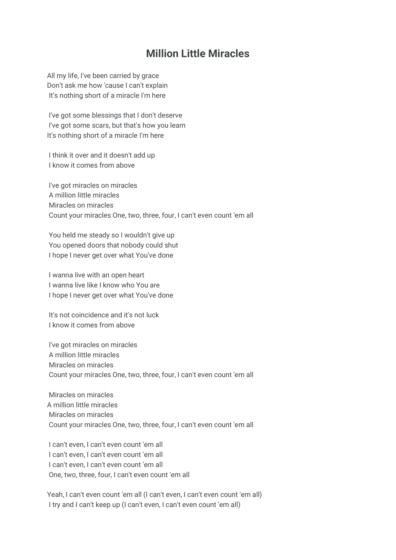## Million Little Miracles

All my life, I've been carried by grace Don't ask me how 'cause I can't explain It's nothing short of a miracle I'm here

 I've got some blessings that I don't deserve I've got some scars, but that's how you learn It's nothing short of a miracle I'm here

 I think it over and it doesn't add up I know it comes from above

 I've got miracles on miracles A million little miracles Miracles on miracles Count your miracles One, two, three, four, I can't even count 'em all

 You held me steady so I wouldn't give up You opened doors that nobody could shut I hope I never get over what You've done

 I wanna live with an open heart I wanna live like I know who You are I hope I never get over what You've done

 It's not coincidence and it's not luck I know it comes from above

 I've got miracles on miracles A million little miracles Miracles on miracles Count your miracles One, two, three, four, I can't even count 'em all

 Miracles on miracles A million little miracles Miracles on miracles Count your miracles One, two, three, four, I can't even count 'em all

 I can't even, I can't even count 'em all I can't even, I can't even count 'em all I can't even, I can't even count 'em all One, two, three, four, I can't even count 'em all

Yeah, I can't even count 'em all (I can't even, I can't even count 'em all) I try and I can't keep up (I can't even, I can't even count 'em all)